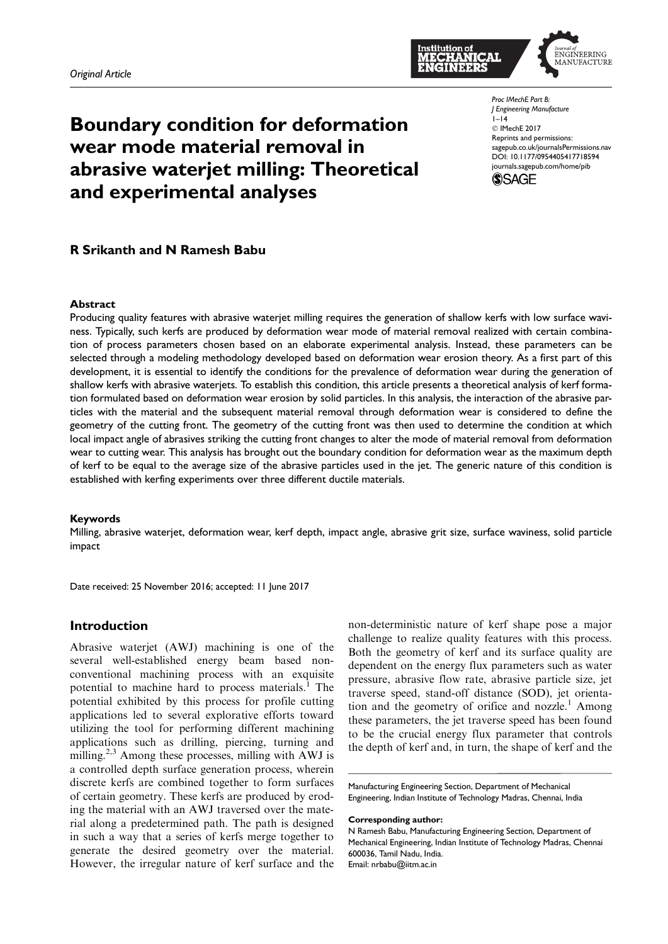

# Boundary condition for deformation wear mode material removal in abrasive waterjet milling: Theoretical and experimental analyses

Proc IMechE Part B: J Engineering Manufacture  $1-14$ C IMechE 2017 Reprints and permissions: sagepub.co.uk/journalsPermissions.nav DOI: 10.1177/0954405417718594 journals.sagepub.com/home/pib **SSAGE** 



#### Abstract

Producing quality features with abrasive waterjet milling requires the generation of shallow kerfs with low surface waviness. Typically, such kerfs are produced by deformation wear mode of material removal realized with certain combination of process parameters chosen based on an elaborate experimental analysis. Instead, these parameters can be selected through a modeling methodology developed based on deformation wear erosion theory. As a first part of this development, it is essential to identify the conditions for the prevalence of deformation wear during the generation of shallow kerfs with abrasive waterjets. To establish this condition, this article presents a theoretical analysis of kerf formation formulated based on deformation wear erosion by solid particles. In this analysis, the interaction of the abrasive particles with the material and the subsequent material removal through deformation wear is considered to define the geometry of the cutting front. The geometry of the cutting front was then used to determine the condition at which local impact angle of abrasives striking the cutting front changes to alter the mode of material removal from deformation wear to cutting wear. This analysis has brought out the boundary condition for deformation wear as the maximum depth of kerf to be equal to the average size of the abrasive particles used in the jet. The generic nature of this condition is established with kerfing experiments over three different ductile materials.

#### Keywords

Milling, abrasive waterjet, deformation wear, kerf depth, impact angle, abrasive grit size, surface waviness, solid particle impact

Date received: 25 November 2016; accepted: 11 June 2017

## Introduction

Abrasive waterjet (AWJ) machining is one of the several well-established energy beam based nonconventional machining process with an exquisite potential to machine hard to process materials.<sup>1</sup> The potential exhibited by this process for profile cutting applications led to several explorative efforts toward utilizing the tool for performing different machining applications such as drilling, piercing, turning and milling.<sup>2,3</sup> Among these processes, milling with AWJ is a controlled depth surface generation process, wherein discrete kerfs are combined together to form surfaces of certain geometry. These kerfs are produced by eroding the material with an AWJ traversed over the material along a predetermined path. The path is designed in such a way that a series of kerfs merge together to generate the desired geometry over the material. However, the irregular nature of kerf surface and the non-deterministic nature of kerf shape pose a major challenge to realize quality features with this process. Both the geometry of kerf and its surface quality are dependent on the energy flux parameters such as water pressure, abrasive flow rate, abrasive particle size, jet traverse speed, stand-off distance (SOD), jet orientation and the geometry of orifice and nozzle.<sup>1</sup> Among these parameters, the jet traverse speed has been found to be the crucial energy flux parameter that controls the depth of kerf and, in turn, the shape of kerf and the

Manufacturing Engineering Section, Department of Mechanical Engineering, Indian Institute of Technology Madras, Chennai, India

#### Corresponding author:

N Ramesh Babu, Manufacturing Engineering Section, Department of Mechanical Engineering, Indian Institute of Technology Madras, Chennai 600036, Tamil Nadu, India. Email: nrbabu@iitm.ac.in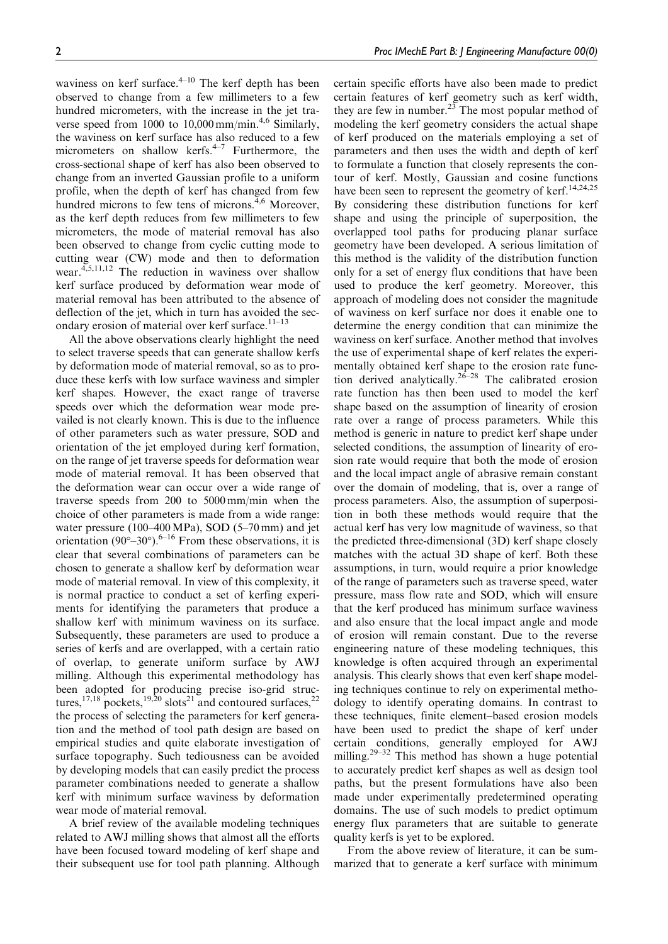waviness on kerf surface. $4-10$  The kerf depth has been observed to change from a few millimeters to a few hundred micrometers, with the increase in the jet traverse speed from 1000 to 10,000 mm/min.<sup>4,6</sup> Similarly, the waviness on kerf surface has also reduced to a few micrometers on shallow kerfs. $4-7$  Furthermore, the cross-sectional shape of kerf has also been observed to change from an inverted Gaussian profile to a uniform profile, when the depth of kerf has changed from few hundred microns to few tens of microns. $4.6$  Moreover, as the kerf depth reduces from few millimeters to few micrometers, the mode of material removal has also been observed to change from cyclic cutting mode to cutting wear (CW) mode and then to deformation wear. $4,5,11,12$  The reduction in waviness over shallow kerf surface produced by deformation wear mode of material removal has been attributed to the absence of deflection of the jet, which in turn has avoided the secondary erosion of material over kerf surface.<sup>11-13</sup>

All the above observations clearly highlight the need to select traverse speeds that can generate shallow kerfs by deformation mode of material removal, so as to produce these kerfs with low surface waviness and simpler kerf shapes. However, the exact range of traverse speeds over which the deformation wear mode prevailed is not clearly known. This is due to the influence of other parameters such as water pressure, SOD and orientation of the jet employed during kerf formation, on the range of jet traverse speeds for deformation wear mode of material removal. It has been observed that the deformation wear can occur over a wide range of traverse speeds from 200 to 5000 mm/min when the choice of other parameters is made from a wide range: water pressure (100–400MPa), SOD (5–70 mm) and jet orientation (90 $^{\circ}-30^{\circ}$ ).<sup>6–16</sup> From these observations, it is clear that several combinations of parameters can be chosen to generate a shallow kerf by deformation wear mode of material removal. In view of this complexity, it is normal practice to conduct a set of kerfing experiments for identifying the parameters that produce a shallow kerf with minimum waviness on its surface. Subsequently, these parameters are used to produce a series of kerfs and are overlapped, with a certain ratio of overlap, to generate uniform surface by AWJ milling. Although this experimental methodology has been adopted for producing precise iso-grid structures,<sup>17,18</sup> pockets,<sup>19,20</sup> slots<sup>21</sup> and contoured surfaces,<sup>22</sup> the process of selecting the parameters for kerf generation and the method of tool path design are based on empirical studies and quite elaborate investigation of surface topography. Such tediousness can be avoided by developing models that can easily predict the process parameter combinations needed to generate a shallow kerf with minimum surface waviness by deformation wear mode of material removal.

A brief review of the available modeling techniques related to AWJ milling shows that almost all the efforts have been focused toward modeling of kerf shape and their subsequent use for tool path planning. Although

certain specific efforts have also been made to predict certain features of kerf geometry such as kerf width, they are few in number.<sup>23</sup> The most popular method of modeling the kerf geometry considers the actual shape of kerf produced on the materials employing a set of parameters and then uses the width and depth of kerf to formulate a function that closely represents the contour of kerf. Mostly, Gaussian and cosine functions have been seen to represent the geometry of kerf.<sup>14,24,25</sup> By considering these distribution functions for kerf shape and using the principle of superposition, the overlapped tool paths for producing planar surface geometry have been developed. A serious limitation of this method is the validity of the distribution function only for a set of energy flux conditions that have been used to produce the kerf geometry. Moreover, this approach of modeling does not consider the magnitude of waviness on kerf surface nor does it enable one to determine the energy condition that can minimize the waviness on kerf surface. Another method that involves the use of experimental shape of kerf relates the experimentally obtained kerf shape to the erosion rate function derived analytically.<sup>26–28</sup> The calibrated erosion rate function has then been used to model the kerf shape based on the assumption of linearity of erosion rate over a range of process parameters. While this method is generic in nature to predict kerf shape under selected conditions, the assumption of linearity of erosion rate would require that both the mode of erosion and the local impact angle of abrasive remain constant over the domain of modeling, that is, over a range of process parameters. Also, the assumption of superposition in both these methods would require that the actual kerf has very low magnitude of waviness, so that the predicted three-dimensional (3D) kerf shape closely matches with the actual 3D shape of kerf. Both these assumptions, in turn, would require a prior knowledge of the range of parameters such as traverse speed, water pressure, mass flow rate and SOD, which will ensure that the kerf produced has minimum surface waviness and also ensure that the local impact angle and mode of erosion will remain constant. Due to the reverse engineering nature of these modeling techniques, this knowledge is often acquired through an experimental analysis. This clearly shows that even kerf shape modeling techniques continue to rely on experimental methodology to identify operating domains. In contrast to these techniques, finite element–based erosion models have been used to predict the shape of kerf under certain conditions, generally employed for AWJ milling.<sup>29–32</sup> This method has shown a huge potential to accurately predict kerf shapes as well as design tool paths, but the present formulations have also been made under experimentally predetermined operating domains. The use of such models to predict optimum energy flux parameters that are suitable to generate quality kerfs is yet to be explored.

From the above review of literature, it can be summarized that to generate a kerf surface with minimum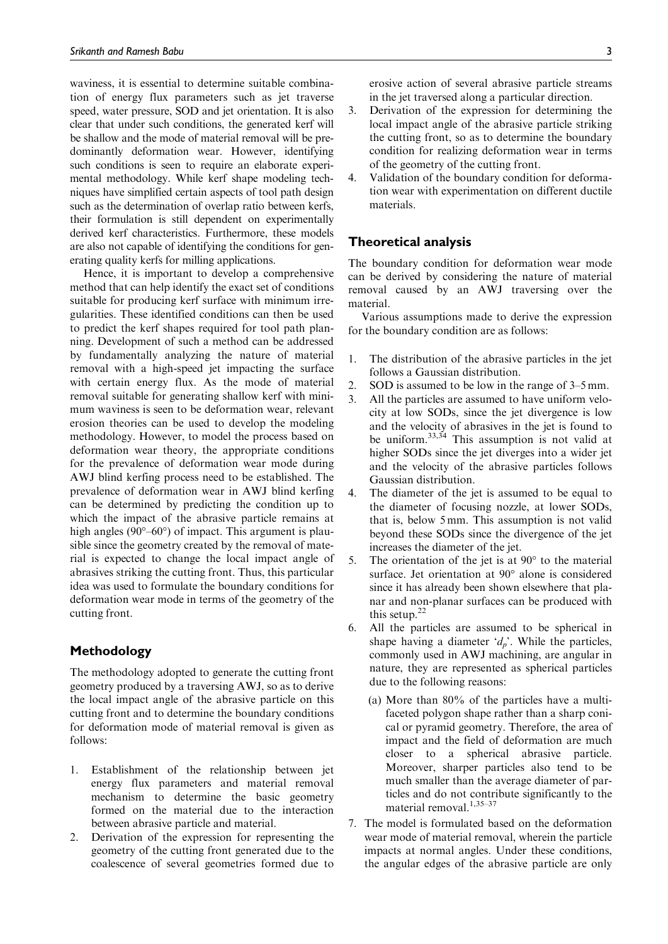waviness, it is essential to determine suitable combination of energy flux parameters such as jet traverse speed, water pressure, SOD and jet orientation. It is also clear that under such conditions, the generated kerf will be shallow and the mode of material removal will be predominantly deformation wear. However, identifying such conditions is seen to require an elaborate experimental methodology. While kerf shape modeling techniques have simplified certain aspects of tool path design such as the determination of overlap ratio between kerfs, their formulation is still dependent on experimentally derived kerf characteristics. Furthermore, these models are also not capable of identifying the conditions for generating quality kerfs for milling applications.

Hence, it is important to develop a comprehensive method that can help identify the exact set of conditions suitable for producing kerf surface with minimum irregularities. These identified conditions can then be used to predict the kerf shapes required for tool path planning. Development of such a method can be addressed by fundamentally analyzing the nature of material removal with a high-speed jet impacting the surface with certain energy flux. As the mode of material removal suitable for generating shallow kerf with minimum waviness is seen to be deformation wear, relevant erosion theories can be used to develop the modeling methodology. However, to model the process based on deformation wear theory, the appropriate conditions for the prevalence of deformation wear mode during AWJ blind kerfing process need to be established. The prevalence of deformation wear in AWJ blind kerfing can be determined by predicting the condition up to which the impact of the abrasive particle remains at high angles ( $90^{\circ}$ – $60^{\circ}$ ) of impact. This argument is plausible since the geometry created by the removal of material is expected to change the local impact angle of abrasives striking the cutting front. Thus, this particular idea was used to formulate the boundary conditions for deformation wear mode in terms of the geometry of the cutting front.

## Methodology

The methodology adopted to generate the cutting front geometry produced by a traversing AWJ, so as to derive the local impact angle of the abrasive particle on this cutting front and to determine the boundary conditions for deformation mode of material removal is given as follows:

- 1. Establishment of the relationship between jet energy flux parameters and material removal mechanism to determine the basic geometry formed on the material due to the interaction between abrasive particle and material.
- 2. Derivation of the expression for representing the geometry of the cutting front generated due to the coalescence of several geometries formed due to

erosive action of several abrasive particle streams in the jet traversed along a particular direction.

- 3. Derivation of the expression for determining the local impact angle of the abrasive particle striking the cutting front, so as to determine the boundary condition for realizing deformation wear in terms of the geometry of the cutting front.
- 4. Validation of the boundary condition for deformation wear with experimentation on different ductile materials.

## Theoretical analysis

The boundary condition for deformation wear mode can be derived by considering the nature of material removal caused by an AWJ traversing over the material.

Various assumptions made to derive the expression for the boundary condition are as follows:

- 1. The distribution of the abrasive particles in the jet follows a Gaussian distribution.
- 2. SOD is assumed to be low in the range of 3–5 mm.
- 3. All the particles are assumed to have uniform velocity at low SODs, since the jet divergence is low and the velocity of abrasives in the jet is found to be uniform.33,34 This assumption is not valid at higher SODs since the jet diverges into a wider jet and the velocity of the abrasive particles follows Gaussian distribution.
- 4. The diameter of the jet is assumed to be equal to the diameter of focusing nozzle, at lower SODs, that is, below 5 mm. This assumption is not valid beyond these SODs since the divergence of the jet increases the diameter of the jet.
- 5. The orientation of the jet is at  $90^\circ$  to the material surface. Jet orientation at 90° alone is considered since it has already been shown elsewhere that planar and non-planar surfaces can be produced with this setup. $22$
- 6. All the particles are assumed to be spherical in shape having a diameter  $d_p$ . While the particles, commonly used in AWJ machining, are angular in nature, they are represented as spherical particles due to the following reasons:
	- (a) More than 80% of the particles have a multifaceted polygon shape rather than a sharp conical or pyramid geometry. Therefore, the area of impact and the field of deformation are much closer to a spherical abrasive particle. Moreover, sharper particles also tend to be much smaller than the average diameter of particles and do not contribute significantly to the material removal.<sup>1,35-37</sup>
- 7. The model is formulated based on the deformation wear mode of material removal, wherein the particle impacts at normal angles. Under these conditions, the angular edges of the abrasive particle are only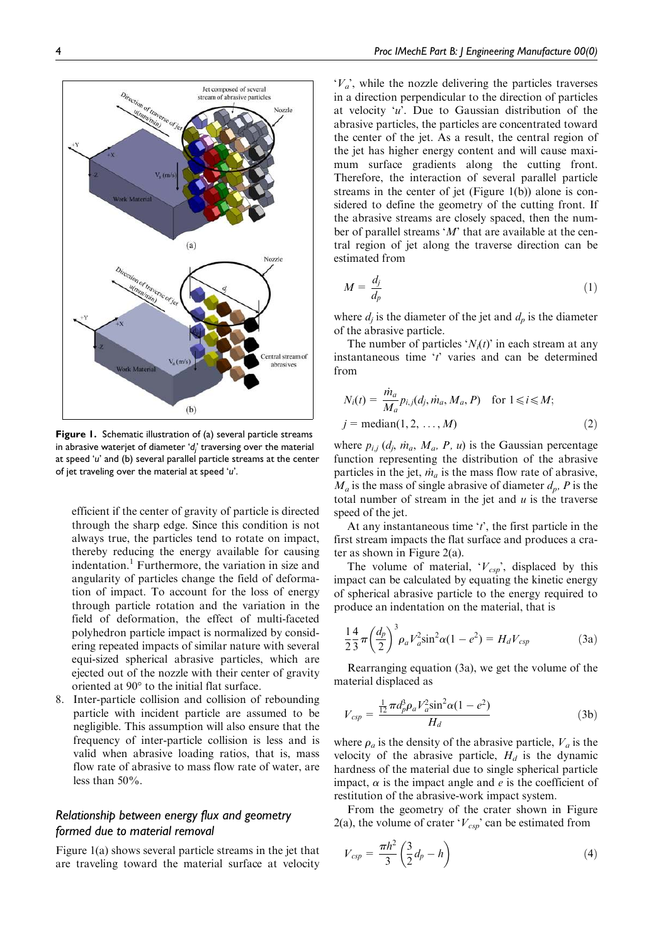

Figure 1. Schematic illustration of (a) several particle streams in abrasive waterjet of diameter ' $d_j$ ' traversing over the material at speed 'u' and (b) several parallel particle streams at the center of jet traveling over the material at speed 'u'.

efficient if the center of gravity of particle is directed through the sharp edge. Since this condition is not always true, the particles tend to rotate on impact, thereby reducing the energy available for causing indentation.<sup>1</sup> Furthermore, the variation in size and angularity of particles change the field of deformation of impact. To account for the loss of energy through particle rotation and the variation in the field of deformation, the effect of multi-faceted polyhedron particle impact is normalized by considering repeated impacts of similar nature with several equi-sized spherical abrasive particles, which are ejected out of the nozzle with their center of gravity oriented at 90° to the initial flat surface.

8. Inter-particle collision and collision of rebounding particle with incident particle are assumed to be negligible. This assumption will also ensure that the frequency of inter-particle collision is less and is valid when abrasive loading ratios, that is, mass flow rate of abrasive to mass flow rate of water, are less than 50%.

# Relationship between energy flux and geometry formed due to material removal

Figure 1(a) shows several particle streams in the jet that are traveling toward the material surface at velocity  $V_a$ , while the nozzle delivering the particles traverses in a direction perpendicular to the direction of particles at velocity  $u'$ . Due to Gaussian distribution of the abrasive particles, the particles are concentrated toward the center of the jet. As a result, the central region of the jet has higher energy content and will cause maximum surface gradients along the cutting front. Therefore, the interaction of several parallel particle streams in the center of jet (Figure 1(b)) alone is considered to define the geometry of the cutting front. If the abrasive streams are closely spaced, then the number of parallel streams ' $M$ ' that are available at the central region of jet along the traverse direction can be estimated from

$$
M = \frac{d_j}{d_p} \tag{1}
$$

where  $d_j$  is the diameter of the jet and  $d_p$  is the diameter of the abrasive particle.

The number of particles ' $N_i(t)$ ' in each stream at any instantaneous time 't' varies and can be determined from

$$
N_i(t) = \frac{\dot{m}_a}{M_a} p_{i,j}(d_j, \dot{m}_a, M_a, P) \quad \text{for } 1 \le i \le M;
$$
  

$$
j = \text{median}(1, 2, \dots, M) \tag{2}
$$

where  $p_{i,j}$  ( $d_j$ ,  $\dot{m}_a$ ,  $M_a$ ,  $P$ ,  $u$ ) is the Gaussian percentage function representing the distribution of the abrasive particles in the jet,  $\dot{m}_a$  is the mass flow rate of abrasive,  $M_a$  is the mass of single abrasive of diameter  $d_p$ , P is the total number of stream in the jet and  $u$  is the traverse speed of the jet.

At any instantaneous time  $t'$ , the first particle in the first stream impacts the flat surface and produces a crater as shown in Figure 2(a).

The volume of material,  $V_{csp}$ , displaced by this impact can be calculated by equating the kinetic energy of spherical abrasive particle to the energy required to produce an indentation on the material, that is

$$
\frac{1}{2}\frac{4}{3}\pi\left(\frac{d_p}{2}\right)^3\rho_aV_a^2\sin^2\alpha(1-e^2) = H_dV_{csp}
$$
 (3a)

Rearranging equation (3a), we get the volume of the material displaced as

$$
V_{csp} = \frac{\frac{1}{12}\pi d_p^3 \rho_a V_a^2 \sin^2 \alpha (1 - e^2)}{H_d}
$$
 (3b)

where  $\rho_a$  is the density of the abrasive particle,  $V_a$  is the velocity of the abrasive particle,  $H_d$  is the dynamic hardness of the material due to single spherical particle impact,  $\alpha$  is the impact angle and e is the coefficient of restitution of the abrasive-work impact system.

From the geometry of the crater shown in Figure 2(a), the volume of crater ' $V_{csp}$ ' can be estimated from

$$
V_{csp} = \frac{\pi h^2}{3} \left(\frac{3}{2}d_p - h\right) \tag{4}
$$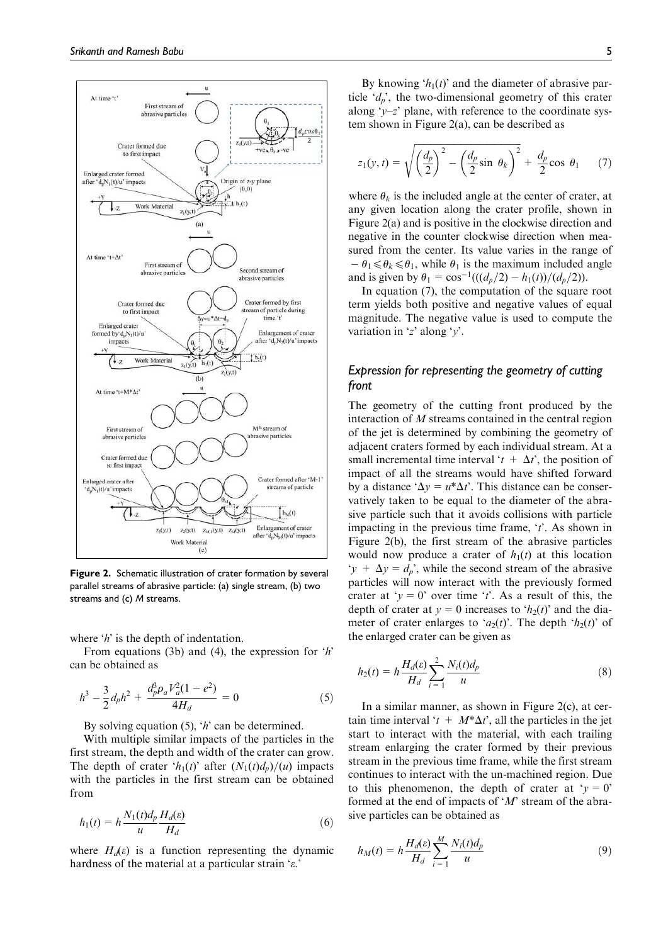

Figure 2. Schematic illustration of crater formation by several parallel streams of abrasive particle: (a) single stream, (b) two streams and (c) M streams.

where 'h' is the depth of indentation.

From equations (3b) and (4), the expression for  $h$ ' can be obtained as

$$
h^3 - \frac{3}{2}d_p h^2 + \frac{d_p^3 \rho_a V_a^2 (1 - e^2)}{4H_d} = 0
$$
 (5)

By solving equation  $(5)$ , 'h' can be determined.

With multiple similar impacts of the particles in the first stream, the depth and width of the crater can grow. The depth of crater ' $h_1(t)$ ' after  $(N_1(t)d_p)/(u)$  impacts with the particles in the first stream can be obtained from

$$
h_1(t) = h \frac{N_1(t)d_p}{u} \frac{H_d(\varepsilon)}{H_d} \tag{6}
$$

where  $H_d(\varepsilon)$  is a function representing the dynamic hardness of the material at a particular strain ' $\varepsilon$ .'

By knowing ' $h_1(t)$ ' and the diameter of abrasive particle  $d_n$ , the two-dimensional geometry of this crater along 'y–z' plane, with reference to the coordinate system shown in Figure 2(a), can be described as

$$
z_1(y,t) = \sqrt{\left(\frac{d_p}{2}\right)^2 - \left(\frac{d_p}{2}\sin\,\theta_k\right)^2} + \frac{d_p}{2}\cos\,\theta_1\qquad(7)
$$

where  $\theta_k$  is the included angle at the center of crater, at any given location along the crater profile, shown in Figure 2(a) and is positive in the clockwise direction and negative in the counter clockwise direction when measured from the center. Its value varies in the range of  $-\theta_1 \le \theta_k \le \theta_1$ , while  $\theta_1$  is the maximum included angle and is given by  $\theta_1 = \cos^{-1}(((d_p/2) - h_1(t))/(d_p/2)).$ 

In equation (7), the computation of the square root term yields both positive and negative values of equal magnitude. The negative value is used to compute the variation in 'z' along 'y'.

## Expression for representing the geometry of cutting front

The geometry of the cutting front produced by the interaction of M streams contained in the central region of the jet is determined by combining the geometry of adjacent craters formed by each individual stream. At a small incremental time interval ' $t + \Delta t$ ', the position of impact of all the streams would have shifted forward by a distance ' $\Delta v = u^* \Delta t$ '. This distance can be conservatively taken to be equal to the diameter of the abrasive particle such that it avoids collisions with particle impacting in the previous time frame,  $t'$ . As shown in Figure 2(b), the first stream of the abrasive particles would now produce a crater of  $h_1(t)$  at this location  $y + \Delta y = d_p$ , while the second stream of the abrasive particles will now interact with the previously formed crater at ' $y = 0$ ' over time 't'. As a result of this, the depth of crater at  $y = 0$  increases to 'h<sub>2</sub>(t)' and the diameter of crater enlarges to ' $a_2(t)$ '. The depth ' $h_2(t)$ ' of the enlarged crater can be given as

$$
h_2(t) = h \frac{H_d(\varepsilon)}{H_d} \sum_{i=1}^{2} \frac{N_i(t) d_p}{u}
$$
 (8)

In a similar manner, as shown in Figure 2(c), at certain time interval ' $t + M^*\Delta t$ ', all the particles in the jet start to interact with the material, with each trailing stream enlarging the crater formed by their previous stream in the previous time frame, while the first stream continues to interact with the un-machined region. Due to this phenomenon, the depth of crater at ' $y = 0$ ' formed at the end of impacts of ' $M$ ' stream of the abrasive particles can be obtained as

$$
h_M(t) = h \frac{H_d(\varepsilon)}{H_d} \sum_{i=1}^M \frac{N_i(t) d_p}{u} \tag{9}
$$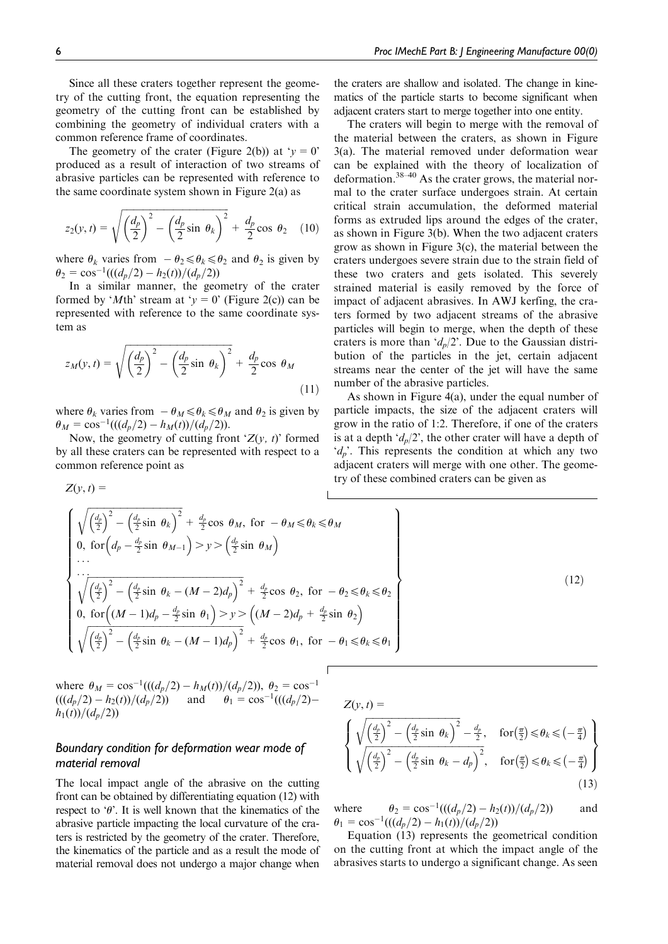Since all these craters together represent the geometry of the cutting front, the equation representing the geometry of the cutting front can be established by combining the geometry of individual craters with a common reference frame of coordinates.

The geometry of the crater (Figure 2(b)) at ' $y=0$ ' produced as a result of interaction of two streams of abrasive particles can be represented with reference to the same coordinate system shown in Figure 2(a) as

$$
z_2(y,t) = \sqrt{\left(\frac{d_p}{2}\right)^2 - \left(\frac{d_p}{2}\sin\,\theta_k\right)^2} + \frac{d_p}{2}\cos\,\theta_2 \quad (10)
$$

where  $\theta_k$  varies from  $-\theta_2 \le \theta_k \le \theta_2$  and  $\theta_2$  is given by  $\theta_2 = \cos^{-1}(((d_p/2) - h_2(t))/(d_p/2))$ 

In a similar manner, the geometry of the crater formed by 'Mth' stream at 'y = 0' (Figure 2(c)) can be represented with reference to the same coordinate system as

$$
z_M(y,t) = \sqrt{\left(\frac{d_p}{2}\right)^2 - \left(\frac{d_p}{2}\sin\,\theta_k\right)^2} + \frac{d_p}{2}\cos\,\theta_M\tag{11}
$$

where  $\theta_k$  varies from  $-\theta_M \le \theta_k \le \theta_M$  and  $\theta_2$  is given by  $\theta_M = \cos^{-1}(((d_p/2) - h_M(t))/(d_p/2)).$ 

Now, the geometry of cutting front ' $Z(y, t)$ ' formed by all these craters can be represented with respect to a common reference point as

 $Z(y, t) =$ 

the craters are shallow and isolated. The change in kinematics of the particle starts to become significant when adjacent craters start to merge together into one entity.

The craters will begin to merge with the removal of the material between the craters, as shown in Figure 3(a). The material removed under deformation wear can be explained with the theory of localization of deformation.38–40 As the crater grows, the material normal to the crater surface undergoes strain. At certain critical strain accumulation, the deformed material forms as extruded lips around the edges of the crater, as shown in Figure 3(b). When the two adjacent craters grow as shown in Figure 3(c), the material between the craters undergoes severe strain due to the strain field of these two craters and gets isolated. This severely strained material is easily removed by the force of impact of adjacent abrasives. In AWJ kerfing, the craters formed by two adjacent streams of the abrasive particles will begin to merge, when the depth of these craters is more than ' $d_p/2$ '. Due to the Gaussian distribution of the particles in the jet, certain adjacent streams near the center of the jet will have the same number of the abrasive particles.

As shown in Figure 4(a), under the equal number of particle impacts, the size of the adjacent craters will grow in the ratio of 1:2. Therefore, if one of the craters is at a depth  $d_p/2$ , the other crater will have a depth of  $d_p$ . This represents the condition at which any two adjacent craters will merge with one other. The geometry of these combined craters can be given as

$$
\begin{cases}\n\sqrt{\left(\frac{d_p}{2}\right)^2 - \left(\frac{d_p}{2}\sin\theta_k\right)^2} + \frac{d_p}{2}\cos\theta_M, \text{ for } -\theta_M \leq \theta_k \leq \theta_M \\
0, \text{ for } \left(d_p - \frac{d_p}{2}\sin\theta_{M-1}\right) > y > \left(\frac{d_p}{2}\sin\theta_M\right) \\
\cdots \\
\sqrt{\left(\frac{d_p}{2}\right)^2 - \left(\frac{d_p}{2}\sin\theta_k - (M-2)d_p\right)^2} + \frac{d_p}{2}\cos\theta_2, \text{ for } -\theta_2 \leq \theta_k \leq \theta_2 \\
0, \text{ for } \left((M-1)d_p - \frac{d_p}{2}\sin\theta_1\right) > y > \left((M-2)d_p + \frac{d_p}{2}\sin\theta_2\right) \\
\sqrt{\left(\frac{d_p}{2}\right)^2 - \left(\frac{d_p}{2}\sin\theta_k - (M-1)d_p\right)^2} + \frac{d_p}{2}\cos\theta_1, \text{ for } -\theta_1 \leq \theta_k \leq \theta_1\n\end{cases}\n\tag{12}
$$

 $\mathbf{L}$ 

where  $\theta_M = \cos^{-1}(((d_p/2) - h_M(t))/(d_p/2)), \theta_2 = \cos^{-1}$  $(((d_p/2) - h_2(t))/(d_p/2))$  $h_2(t)/(d_p/2)$  and  $\theta_1 = \cos^{-1}(((d_p/2)$  $h_1(t)/(d_p/2)$ 

## Boundary condition for deformation wear mode of material removal

The local impact angle of the abrasive on the cutting front can be obtained by differentiating equation (12) with respect to  $\theta$ . It is well known that the kinematics of the abrasive particle impacting the local curvature of the craters is restricted by the geometry of the crater. Therefore, the kinematics of the particle and as a result the mode of material removal does not undergo a major change when

$$
Z(y, t) =
$$
\n
$$
\begin{cases}\n\sqrt{\left(\frac{d_p}{2}\right)^2 - \left(\frac{d_p}{2}\sin \theta_k\right)^2} - \frac{d_p}{2}, & \text{for } \left(\frac{\pi}{2}\right) \le \theta_k \le \left(-\frac{\pi}{4}\right) \\
\sqrt{\left(\frac{d_p}{2}\right)^2 - \left(\frac{d_p}{2}\sin \theta_k - d_p\right)^2}, & \text{for } \left(\frac{\pi}{2}\right) \le \theta_k \le \left(-\frac{\pi}{4}\right)\n\end{cases}
$$
\n(13)

where  $\theta_2 = \cos^{-1}(((d_p/2) - h_2(t))/(d_p/2))$  and  $\theta_1 = \cos^{-1}(((d_p/2) - h_1(t))/(d_p/2))$ 

Equation (13) represents the geometrical condition on the cutting front at which the impact angle of the abrasives starts to undergo a significant change. As seen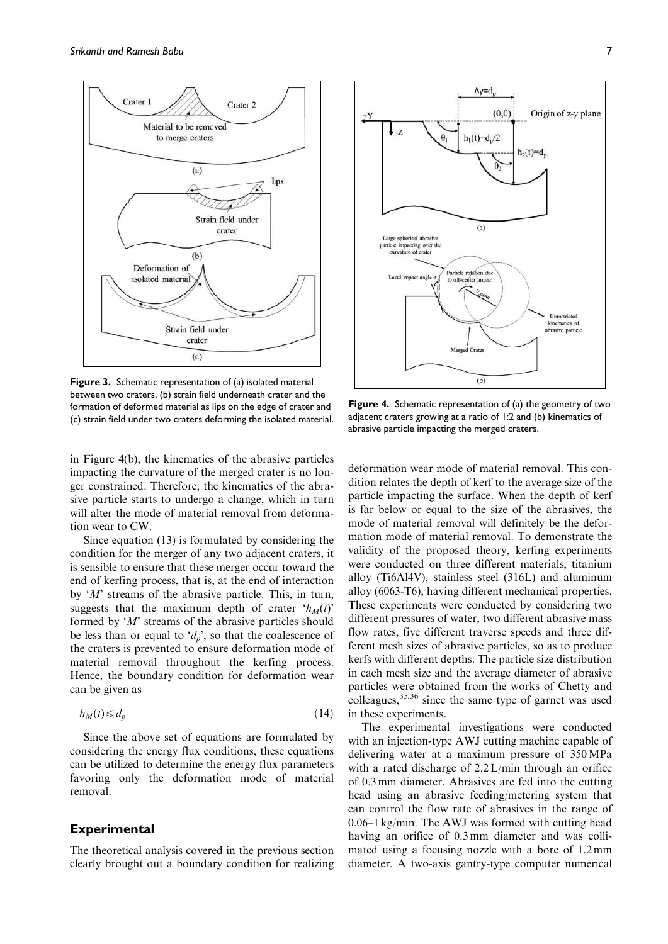

Figure 3. Schematic representation of (a) isolated material between two craters, (b) strain field underneath crater and the formation of deformed material as lips on the edge of crater and (c) strain field under two craters deforming the isolated material.

in Figure 4(b), the kinematics of the abrasive particles impacting the curvature of the merged crater is no longer constrained. Therefore, the kinematics of the abrasive particle starts to undergo a change, which in turn will alter the mode of material removal from deformation wear to CW.

Since equation (13) is formulated by considering the condition for the merger of any two adjacent craters, it is sensible to ensure that these merger occur toward the end of kerfing process, that is, at the end of interaction by 'M' streams of the abrasive particle. This, in turn, suggests that the maximum depth of crater ' $h_M(t)$ ' formed by 'M' streams of the abrasive particles should be less than or equal to ' $d_p$ ', so that the coalescence of the craters is prevented to ensure deformation mode of material removal throughout the kerfing process. Hence, the boundary condition for deformation wear can be given as

$$
h_M(t) \leqslant d_p \tag{14}
$$

Since the above set of equations are formulated by considering the energy flux conditions, these equations can be utilized to determine the energy flux parameters favoring only the deformation mode of material removal.

#### **Experimental**

The theoretical analysis covered in the previous section clearly brought out a boundary condition for realizing



Figure 4. Schematic representation of (a) the geometry of two adjacent craters growing at a ratio of 1:2 and (b) kinematics of abrasive particle impacting the merged craters.

deformation wear mode of material removal. This condition relates the depth of kerf to the average size of the particle impacting the surface. When the depth of kerf is far below or equal to the size of the abrasives, the mode of material removal will definitely be the deformation mode of material removal. To demonstrate the validity of the proposed theory, kerfing experiments were conducted on three different materials, titanium alloy (Ti6Al4V), stainless steel (316L) and aluminum alloy (6063-T6), having different mechanical properties. These experiments were conducted by considering two different pressures of water, two different abrasive mass flow rates, five different traverse speeds and three different mesh sizes of abrasive particles, so as to produce kerfs with different depths. The particle size distribution in each mesh size and the average diameter of abrasive particles were obtained from the works of Chetty and colleagues,  $35,36$  since the same type of garnet was used in these experiments.

The experimental investigations were conducted with an injection-type AWJ cutting machine capable of delivering water at a maximum pressure of 350MPa with a rated discharge of 2.2 L/min through an orifice of 0.3 mm diameter. Abrasives are fed into the cutting head using an abrasive feeding/metering system that can control the flow rate of abrasives in the range of 0.06–1 kg/min. The AWJ was formed with cutting head having an orifice of  $0.3 \text{ mm}$  diameter and was collimated using a focusing nozzle with a bore of 1.2 mm diameter. A two-axis gantry-type computer numerical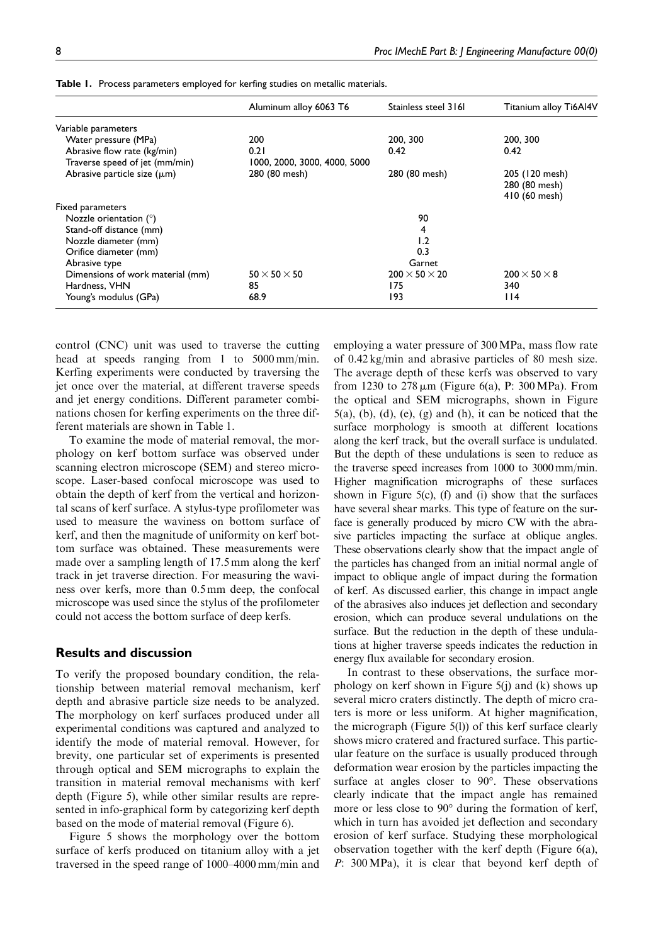|                                  | Aluminum alloy 6063 T6       | Stainless steel 3161      | Titanium alloy Ti6Al4V                           |
|----------------------------------|------------------------------|---------------------------|--------------------------------------------------|
| Variable parameters              |                              |                           |                                                  |
| Water pressure (MPa)             | 200                          | 200, 300                  | 200, 300                                         |
| Abrasive flow rate (kg/min)      | 0.21                         | 0.42                      | 0.42                                             |
| Traverse speed of jet (mm/min)   | 1000, 2000, 3000, 4000, 5000 |                           |                                                  |
| Abrasive particle size $(\mu m)$ | 280 (80 mesh)                | 280 (80 mesh)             | 205 (120 mesh)<br>280 (80 mesh)<br>410 (60 mesh) |
| Fixed parameters                 |                              |                           |                                                  |
| Nozzle orientation $(^\circ)$    |                              | 90                        |                                                  |
| Stand-off distance (mm)          |                              | 4                         |                                                  |
| Nozzle diameter (mm)             |                              | 1.2                       |                                                  |
| Orifice diameter (mm)            |                              | 0.3                       |                                                  |
| Abrasive type                    |                              | Garnet                    |                                                  |
| Dimensions of work material (mm) | $50 \times 50 \times 50$     | $200 \times 50 \times 20$ | $200 \times 50 \times 8$                         |
| Hardness, VHN                    | 85                           | 175                       | 340                                              |
| Young's modulus (GPa)            | 68.9                         | 193                       | l 14                                             |

Table 1. Process parameters employed for kerfing studies on metallic materials.

control (CNC) unit was used to traverse the cutting head at speeds ranging from 1 to 5000 mm/min. Kerfing experiments were conducted by traversing the jet once over the material, at different traverse speeds and jet energy conditions. Different parameter combinations chosen for kerfing experiments on the three different materials are shown in Table 1.

To examine the mode of material removal, the morphology on kerf bottom surface was observed under scanning electron microscope (SEM) and stereo microscope. Laser-based confocal microscope was used to obtain the depth of kerf from the vertical and horizontal scans of kerf surface. A stylus-type profilometer was used to measure the waviness on bottom surface of kerf, and then the magnitude of uniformity on kerf bottom surface was obtained. These measurements were made over a sampling length of 17.5 mm along the kerf track in jet traverse direction. For measuring the waviness over kerfs, more than 0.5 mm deep, the confocal microscope was used since the stylus of the profilometer could not access the bottom surface of deep kerfs.

## Results and discussion

To verify the proposed boundary condition, the relationship between material removal mechanism, kerf depth and abrasive particle size needs to be analyzed. The morphology on kerf surfaces produced under all experimental conditions was captured and analyzed to identify the mode of material removal. However, for brevity, one particular set of experiments is presented through optical and SEM micrographs to explain the transition in material removal mechanisms with kerf depth (Figure 5), while other similar results are represented in info-graphical form by categorizing kerf depth based on the mode of material removal (Figure 6).

Figure 5 shows the morphology over the bottom surface of kerfs produced on titanium alloy with a jet traversed in the speed range of 1000–4000 mm/min and employing a water pressure of 300MPa, mass flow rate of 0.42 kg/min and abrasive particles of 80 mesh size. The average depth of these kerfs was observed to vary from 1230 to 278  $\mu$ m (Figure 6(a), P: 300 MPa). From the optical and SEM micrographs, shown in Figure  $5(a)$ , (b), (d), (e), (g) and (h), it can be noticed that the surface morphology is smooth at different locations along the kerf track, but the overall surface is undulated. But the depth of these undulations is seen to reduce as the traverse speed increases from 1000 to 3000 mm/min. Higher magnification micrographs of these surfaces shown in Figure 5(c),  $(f)$  and  $(i)$  show that the surfaces have several shear marks. This type of feature on the surface is generally produced by micro CW with the abrasive particles impacting the surface at oblique angles. These observations clearly show that the impact angle of the particles has changed from an initial normal angle of impact to oblique angle of impact during the formation of kerf. As discussed earlier, this change in impact angle of the abrasives also induces jet deflection and secondary erosion, which can produce several undulations on the surface. But the reduction in the depth of these undulations at higher traverse speeds indicates the reduction in energy flux available for secondary erosion.

In contrast to these observations, the surface morphology on kerf shown in Figure 5(j) and (k) shows up several micro craters distinctly. The depth of micro craters is more or less uniform. At higher magnification, the micrograph (Figure 5(l)) of this kerf surface clearly shows micro cratered and fractured surface. This particular feature on the surface is usually produced through deformation wear erosion by the particles impacting the surface at angles closer to 90°. These observations clearly indicate that the impact angle has remained more or less close to  $90^{\circ}$  during the formation of kerf, which in turn has avoided jet deflection and secondary erosion of kerf surface. Studying these morphological observation together with the kerf depth (Figure 6(a), P: 300MPa), it is clear that beyond kerf depth of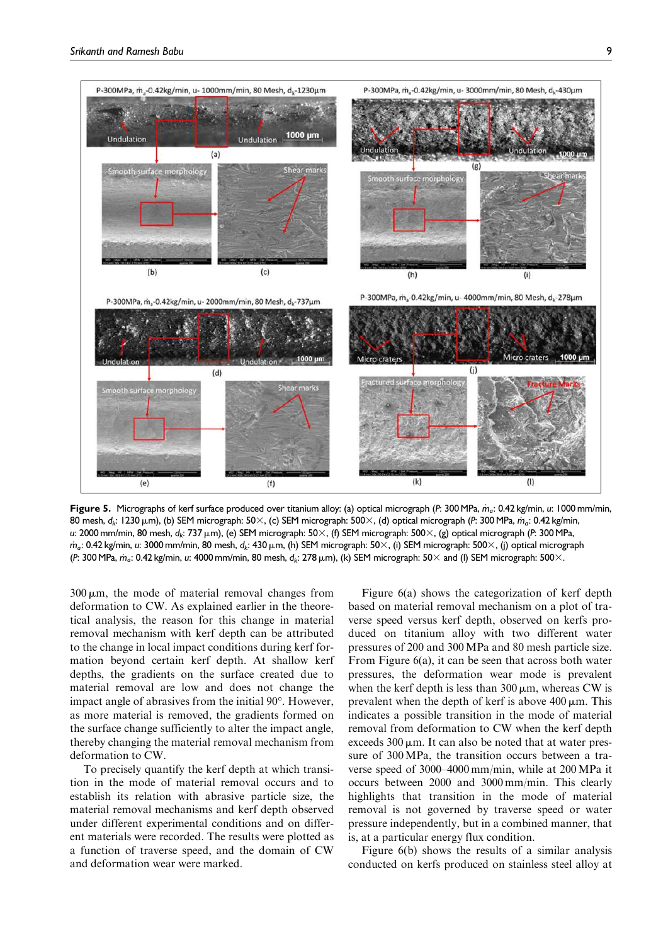

Figure 5. Micrographs of kerf surface produced over titanium alloy: (a) optical micrograph (P: 300 MPa,  $m_a$ : 0.42 kg/min, u: 1000 mm/min,  $80$  mesh,  $d_k$ : 1230  $\mu$ m), (b) SEM micrograph: 50 $\times$ , (c) SEM micrograph: 500 $\times$ , (d) optical micrograph (P: 300 MPa,  $m_a$ : 0.42 kg/min, u: 2000 mm/min, 80 mesh, d<sub>k</sub>: 737 µm), (e) SEM micrograph: 50 $\times$ , (f) SEM micrograph: 500 $\times$ , (g) optical micrograph (P: 300 MPa,  $m_a$ : 0.42 kg/min,  $u$ : 3000 mm/min, 80 mesh, d<sub>k</sub>: 430 µm, (h) SEM micrograph: 50 $\times$ , (i) SEM micrograph: 500 $\times$ , (j) optical micrograph (P: 300 MPa,  $m_a$ : 0.42 kg/min, u: 4000 mm/min, 80 mesh, dk: 278  $\mu$ m), (k) SEM micrograph: 50 $\times$  and (l) SEM micrograph: 500 $\times$ .

 $300 \,\mu m$ , the mode of material removal changes from deformation to CW. As explained earlier in the theoretical analysis, the reason for this change in material removal mechanism with kerf depth can be attributed to the change in local impact conditions during kerf formation beyond certain kerf depth. At shallow kerf depths, the gradients on the surface created due to material removal are low and does not change the impact angle of abrasives from the initial 90°. However, as more material is removed, the gradients formed on the surface change sufficiently to alter the impact angle, thereby changing the material removal mechanism from deformation to CW.

To precisely quantify the kerf depth at which transition in the mode of material removal occurs and to establish its relation with abrasive particle size, the material removal mechanisms and kerf depth observed under different experimental conditions and on different materials were recorded. The results were plotted as a function of traverse speed, and the domain of CW and deformation wear were marked.

Figure 6(a) shows the categorization of kerf depth based on material removal mechanism on a plot of traverse speed versus kerf depth, observed on kerfs produced on titanium alloy with two different water pressures of 200 and 300MPa and 80 mesh particle size. From Figure 6(a), it can be seen that across both water pressures, the deformation wear mode is prevalent when the kerf depth is less than  $300 \mu m$ , whereas CW is prevalent when the depth of kerf is above  $400 \mu m$ . This indicates a possible transition in the mode of material removal from deformation to CW when the kerf depth exceeds  $300 \mu m$ . It can also be noted that at water pressure of 300MPa, the transition occurs between a traverse speed of 3000–4000 mm/min, while at 200MPa it occurs between 2000 and 3000 mm/min. This clearly highlights that transition in the mode of material removal is not governed by traverse speed or water pressure independently, but in a combined manner, that is, at a particular energy flux condition.

Figure 6(b) shows the results of a similar analysis conducted on kerfs produced on stainless steel alloy at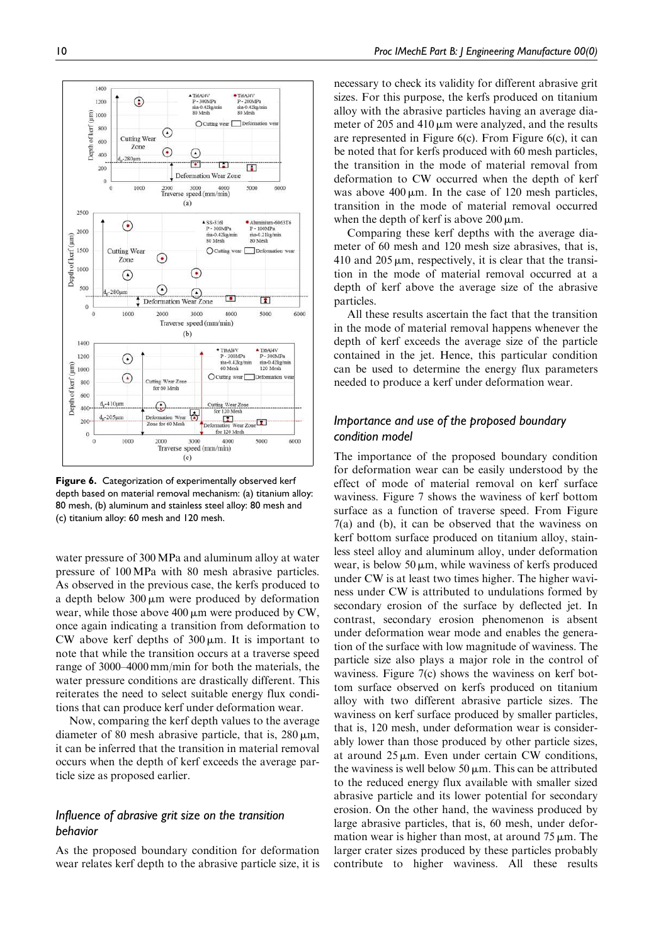necessary to check its validity for different abrasive grit sizes. For this purpose, the kerfs produced on titanium alloy with the abrasive particles having an average diameter of 205 and 410  $\mu$ m were analyzed, and the results are represented in Figure 6(c). From Figure 6(c), it can be noted that for kerfs produced with 60 mesh particles, the transition in the mode of material removal from deformation to CW occurred when the depth of kerf was above  $400 \text{ µm}$ . In the case of  $120 \text{ mesh particles}$ , transition in the mode of material removal occurred when the depth of kerf is above  $200 \mu m$ .

Comparing these kerf depths with the average diameter of 60 mesh and 120 mesh size abrasives, that is, 410 and  $205 \mu m$ , respectively, it is clear that the transition in the mode of material removal occurred at a depth of kerf above the average size of the abrasive particles.

All these results ascertain the fact that the transition in the mode of material removal happens whenever the depth of kerf exceeds the average size of the particle contained in the jet. Hence, this particular condition can be used to determine the energy flux parameters needed to produce a kerf under deformation wear.

# Importance and use of the proposed boundary condition model

The importance of the proposed boundary condition for deformation wear can be easily understood by the effect of mode of material removal on kerf surface waviness. Figure 7 shows the waviness of kerf bottom surface as a function of traverse speed. From Figure 7(a) and (b), it can be observed that the waviness on kerf bottom surface produced on titanium alloy, stainless steel alloy and aluminum alloy, under deformation wear, is below 50  $\mu$ m, while waviness of kerfs produced under CW is at least two times higher. The higher waviness under CW is attributed to undulations formed by secondary erosion of the surface by deflected jet. In contrast, secondary erosion phenomenon is absent under deformation wear mode and enables the generation of the surface with low magnitude of waviness. The particle size also plays a major role in the control of waviness. Figure 7(c) shows the waviness on kerf bottom surface observed on kerfs produced on titanium alloy with two different abrasive particle sizes. The waviness on kerf surface produced by smaller particles, that is, 120 mesh, under deformation wear is considerably lower than those produced by other particle sizes, at around  $25 \mu m$ . Even under certain CW conditions, the waviness is well below 50  $\mu$ m. This can be attributed to the reduced energy flux available with smaller sized abrasive particle and its lower potential for secondary erosion. On the other hand, the waviness produced by large abrasive particles, that is, 60 mesh, under deformation wear is higher than most, at around  $75 \mu m$ . The larger crater sizes produced by these particles probably contribute to higher waviness. All these results



water pressure of 300MPa and aluminum alloy at water pressure of 100MPa with 80 mesh abrasive particles. As observed in the previous case, the kerfs produced to a depth below  $300 \mu m$  were produced by deformation wear, while those above  $400 \mu m$  were produced by CW, once again indicating a transition from deformation to CW above kerf depths of  $300 \mu m$ . It is important to note that while the transition occurs at a traverse speed range of 3000–4000 mm/min for both the materials, the water pressure conditions are drastically different. This reiterates the need to select suitable energy flux conditions that can produce kerf under deformation wear.

Now, comparing the kerf depth values to the average diameter of 80 mesh abrasive particle, that is,  $280 \,\mu m$ , it can be inferred that the transition in material removal occurs when the depth of kerf exceeds the average particle size as proposed earlier.

## Influence of abrasive grit size on the transition behavior

As the proposed boundary condition for deformation wear relates kerf depth to the abrasive particle size, it is

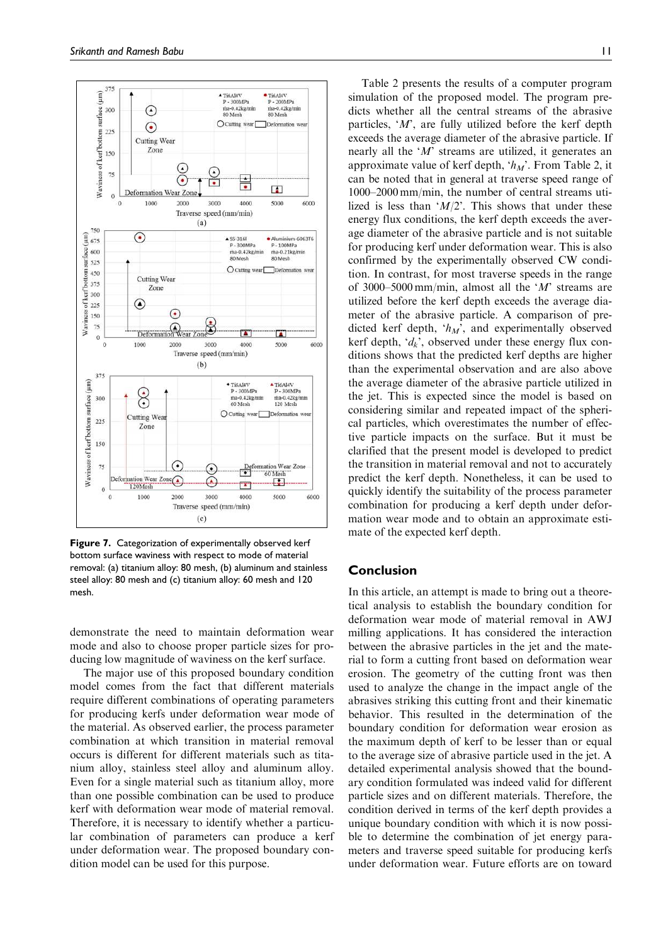

Figure 7. Categorization of experimentally observed kerf bottom surface waviness with respect to mode of material removal: (a) titanium alloy: 80 mesh, (b) aluminum and stainless steel alloy: 80 mesh and (c) titanium alloy: 60 mesh and 120 mesh.

demonstrate the need to maintain deformation wear mode and also to choose proper particle sizes for producing low magnitude of waviness on the kerf surface.

The major use of this proposed boundary condition model comes from the fact that different materials require different combinations of operating parameters for producing kerfs under deformation wear mode of the material. As observed earlier, the process parameter combination at which transition in material removal occurs is different for different materials such as titanium alloy, stainless steel alloy and aluminum alloy. Even for a single material such as titanium alloy, more than one possible combination can be used to produce kerf with deformation wear mode of material removal. Therefore, it is necessary to identify whether a particular combination of parameters can produce a kerf under deformation wear. The proposed boundary condition model can be used for this purpose.

simulation of the proposed model. The program predicts whether all the central streams of the abrasive particles, 'M', are fully utilized before the kerf depth exceeds the average diameter of the abrasive particle. If nearly all the ' $M$ ' streams are utilized, it generates an approximate value of kerf depth,  $h_M$ <sup>2</sup>. From Table 2, it can be noted that in general at traverse speed range of 1000–2000 mm/min, the number of central streams utilized is less than  $M/2$ . This shows that under these energy flux conditions, the kerf depth exceeds the average diameter of the abrasive particle and is not suitable for producing kerf under deformation wear. This is also confirmed by the experimentally observed CW condition. In contrast, for most traverse speeds in the range of 3000–5000 mm/min, almost all the ' $M$ ' streams are utilized before the kerf depth exceeds the average diameter of the abrasive particle. A comparison of predicted kerf depth,  $h_M$ , and experimentally observed kerf depth,  $d_k$ , observed under these energy flux conditions shows that the predicted kerf depths are higher than the experimental observation and are also above the average diameter of the abrasive particle utilized in the jet. This is expected since the model is based on considering similar and repeated impact of the spherical particles, which overestimates the number of effective particle impacts on the surface. But it must be clarified that the present model is developed to predict the transition in material removal and not to accurately predict the kerf depth. Nonetheless, it can be used to quickly identify the suitability of the process parameter combination for producing a kerf depth under deformation wear mode and to obtain an approximate estimate of the expected kerf depth.

## Conclusion

In this article, an attempt is made to bring out a theoretical analysis to establish the boundary condition for deformation wear mode of material removal in AWJ milling applications. It has considered the interaction between the abrasive particles in the jet and the material to form a cutting front based on deformation wear erosion. The geometry of the cutting front was then used to analyze the change in the impact angle of the abrasives striking this cutting front and their kinematic behavior. This resulted in the determination of the boundary condition for deformation wear erosion as the maximum depth of kerf to be lesser than or equal to the average size of abrasive particle used in the jet. A detailed experimental analysis showed that the boundary condition formulated was indeed valid for different particle sizes and on different materials. Therefore, the condition derived in terms of the kerf depth provides a unique boundary condition with which it is now possible to determine the combination of jet energy parameters and traverse speed suitable for producing kerfs under deformation wear. Future efforts are on toward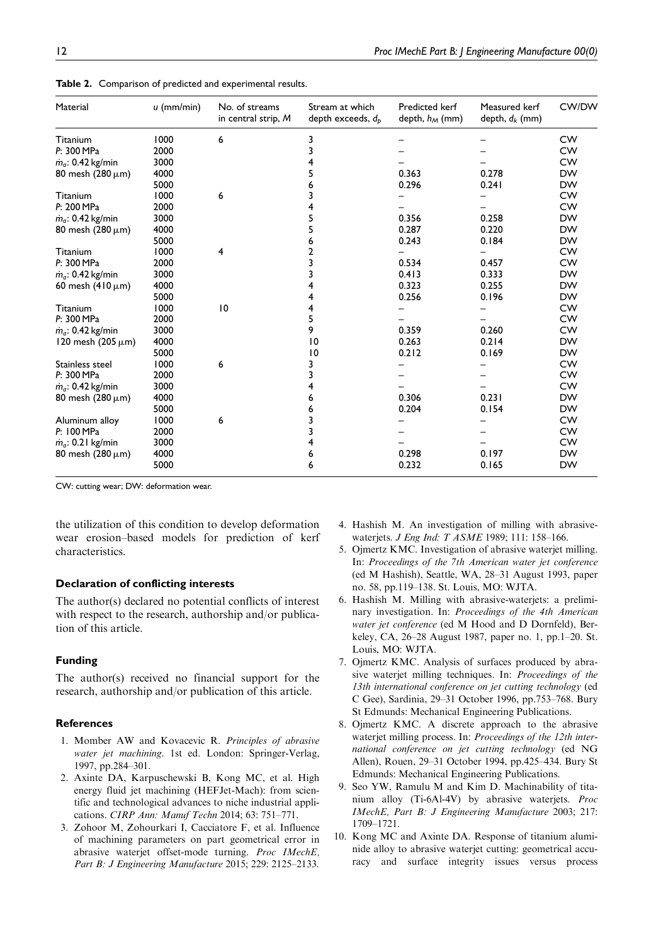|  |  |  |  | Table 2. Comparison of predicted and experimental results. |  |
|--|--|--|--|------------------------------------------------------------|--|
|--|--|--|--|------------------------------------------------------------|--|

| Material                  | $u$ (mm/min) | No. of streams<br>in central strip, M | Stream at which<br>depth exceeds, $d_h$ | Predicted kerf<br>depth, $h_M$ (mm) | Measured kerf<br>depth, $d_k$ (mm) | CW/DW     |
|---------------------------|--------------|---------------------------------------|-----------------------------------------|-------------------------------------|------------------------------------|-----------|
| Titanium                  | 1000         | 6                                     | 3                                       |                                     |                                    | <b>CW</b> |
| P: 300 MPa                | 2000         |                                       | 3                                       |                                     |                                    | <b>CW</b> |
| $\dot{m}_q$ : 0.42 kg/min | 3000         |                                       | 4                                       |                                     |                                    | <b>CW</b> |
| 80 mesh $(280 \,\mu m)$   | 4000         |                                       | 5                                       | 0.363                               | 0.278                              | <b>DW</b> |
|                           | 5000         |                                       | 6                                       | 0.296                               | 0.241                              | <b>DW</b> |
| Titanium                  | 1000         | 6                                     | 3                                       |                                     |                                    | <b>CW</b> |
| P: 200 MPa                | 2000         |                                       |                                         |                                     |                                    | <b>CW</b> |
| $\dot{m}_q$ : 0.42 kg/min | 3000         |                                       | 5                                       | 0.356                               | 0.258                              | <b>DW</b> |
| 80 mesh $(280 \,\mu m)$   | 4000         |                                       | 5                                       | 0.287                               | 0.220                              | <b>DW</b> |
|                           | 5000         |                                       | 6                                       | 0.243                               | 0.184                              | <b>DW</b> |
| Titanium                  | 1000         | 4                                     | $\overline{2}$                          |                                     |                                    | <b>CW</b> |
| P: 300 MPa                | 2000         |                                       | 3                                       | 0.534                               | 0.457                              | <b>CW</b> |
| $\dot{m}_a$ : 0.42 kg/min | 3000         |                                       | 3                                       | 0.413                               | 0.333                              | <b>DW</b> |
| 60 mesh $(410 \mu m)$     | 4000         |                                       | 4                                       | 0.323                               | 0.255                              | <b>DW</b> |
|                           | 5000         |                                       | 4                                       | 0.256                               | 0.196                              | <b>DW</b> |
| Titanium                  | 1000         | 10                                    | 4                                       |                                     |                                    | <b>CW</b> |
| P: 300 MPa                | 2000         |                                       | 5                                       |                                     |                                    | <b>CW</b> |
| $\dot{m}_q$ : 0.42 kg/min | 3000         |                                       | 9                                       | 0.359                               | 0.260                              | <b>CW</b> |
| 120 mesh $(205 \,\mu m)$  | 4000         |                                       | 10                                      | 0.263                               | 0.214                              | <b>DW</b> |
|                           | 5000         |                                       | 10                                      | 0.212                               | 0.169                              | <b>DW</b> |
| Stainless steel           | 1000         | 6                                     |                                         |                                     |                                    | <b>CW</b> |
| P: 300 MPa                | 2000         |                                       | 3                                       |                                     |                                    | CW        |
| $\dot{m}_a$ : 0.42 kg/min | 3000         |                                       | 4                                       |                                     |                                    | <b>CW</b> |
| 80 mesh $(280 \,\mu m)$   | 4000         |                                       | 6                                       | 0.306                               | 0.231                              | <b>DW</b> |
|                           | 5000         |                                       | 6                                       | 0.204                               | 0.154                              | <b>DW</b> |
| Aluminum alloy            | 1000         | 6                                     |                                         |                                     |                                    | <b>CW</b> |
| P: 100 MPa                | 2000         |                                       |                                         |                                     |                                    | <b>CW</b> |
| $\dot{m}_a$ : 0.21 kg/min | 3000         |                                       | 4                                       |                                     |                                    | <b>CW</b> |
| 80 mesh $(280 \,\mu m)$   | 4000         |                                       | 6                                       | 0.298                               | 0.197                              | <b>DW</b> |
|                           | 5000         |                                       | 6                                       | 0.232                               | 0.165                              | <b>DW</b> |

CW: cutting wear; DW: deformation wear.

the utilization of this condition to develop deformation wear erosion–based models for prediction of kerf characteristics.

#### Declaration of conflicting interests

The author(s) declared no potential conflicts of interest with respect to the research, authorship and/or publication of this article.

#### Funding

The author(s) received no financial support for the research, authorship and/or publication of this article.

#### References

- 1. Momber AW and Kovacevic R. Principles of abrasive water jet machining. 1st ed. London: Springer-Verlag, 1997, pp.284–301.
- 2. Axinte DA, Karpuschewski B, Kong MC, et al. High energy fluid jet machining (HEFJet-Mach): from scientific and technological advances to niche industrial applications. CIRP Ann: Manuf Techn 2014; 63: 751–771.
- 3. Zohoor M, Zohourkari I, Cacciatore F, et al. Influence of machining parameters on part geometrical error in abrasive waterjet offset-mode turning. Proc IMechE, Part B: J Engineering Manufacture 2015; 229: 2125-2133.
- 4. Hashish M. An investigation of milling with abrasivewateriets. *J Eng Ind: T ASME* 1989; 111: 158-166.
- 5. Ojmertz KMC. Investigation of abrasive waterjet milling. In: Proceedings of the 7th American water jet conference (ed M Hashish), Seattle, WA, 28–31 August 1993, paper no. 58, pp.119–138. St. Louis, MO: WJTA.
- 6. Hashish M. Milling with abrasive-waterjets: a preliminary investigation. In: Proceedings of the 4th American water jet conference (ed M Hood and D Dornfeld), Berkeley, CA, 26–28 August 1987, paper no. 1, pp.1–20. St. Louis, MO: WJTA.
- 7. Ojmertz KMC. Analysis of surfaces produced by abrasive waterjet milling techniques. In: Proceedings of the 13th international conference on jet cutting technology (ed C Gee), Sardinia, 29–31 October 1996, pp.753–768. Bury St Edmunds: Mechanical Engineering Publications.
- 8. Ojmertz KMC. A discrete approach to the abrasive waterjet milling process. In: Proceedings of the 12th international conference on jet cutting technology (ed NG Allen), Rouen, 29–31 October 1994, pp.425–434. Bury St Edmunds: Mechanical Engineering Publications.
- 9. Seo YW, Ramulu M and Kim D. Machinability of titanium alloy (Ti-6Al-4V) by abrasive waterjets. Proc IMechE, Part B: J Engineering Manufacture 2003; 217: 1709–1721.
- 10. Kong MC and Axinte DA. Response of titanium aluminide alloy to abrasive waterjet cutting: geometrical accuracy and surface integrity issues versus process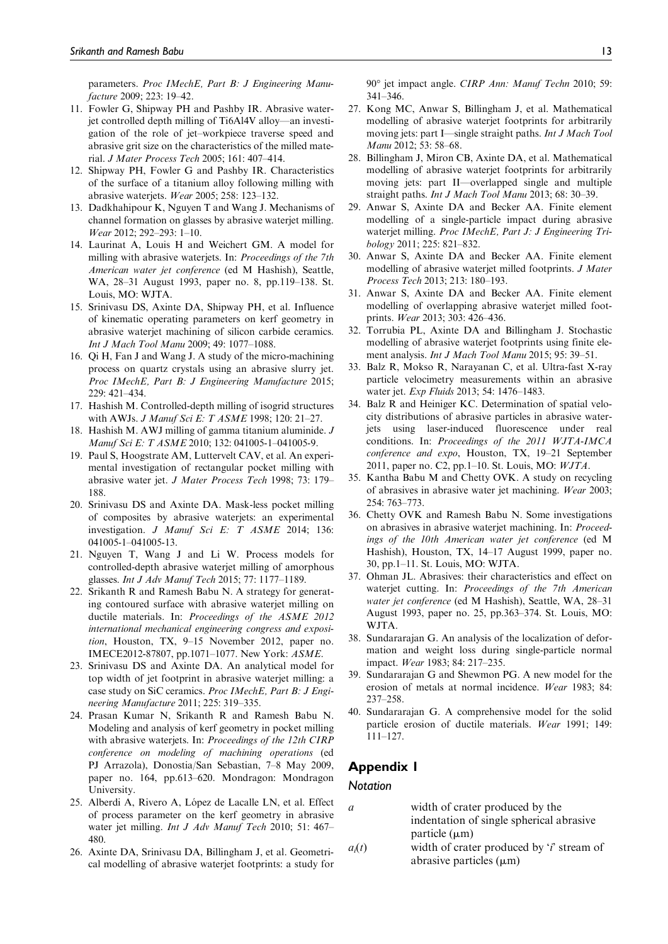parameters. Proc IMechE, Part B: J Engineering Manufacture 2009; 223: 19–42.

- 11. Fowler G, Shipway PH and Pashby IR. Abrasive waterjet controlled depth milling of Ti6Al4V alloy—an investigation of the role of jet–workpiece traverse speed and abrasive grit size on the characteristics of the milled material. J Mater Process Tech 2005; 161: 407–414.
- 12. Shipway PH, Fowler G and Pashby IR. Characteristics of the surface of a titanium alloy following milling with abrasive waterjets. Wear 2005; 258: 123–132.
- 13. Dadkhahipour K, Nguyen T and Wang J. Mechanisms of channel formation on glasses by abrasive waterjet milling. Wear 2012; 292–293: 1–10.
- 14. Laurinat A, Louis H and Weichert GM. A model for milling with abrasive waterjets. In: Proceedings of the 7th American water jet conference (ed M Hashish), Seattle, WA, 28–31 August 1993, paper no. 8, pp.119–138. St. Louis, MO: WJTA.
- 15. Srinivasu DS, Axinte DA, Shipway PH, et al. Influence of kinematic operating parameters on kerf geometry in abrasive waterjet machining of silicon carbide ceramics. Int J Mach Tool Manu 2009; 49: 1077–1088.
- 16. Qi H, Fan J and Wang J. A study of the micro-machining process on quartz crystals using an abrasive slurry jet. Proc IMechE, Part B: J Engineering Manufacture 2015; 229: 421–434.
- 17. Hashish M. Controlled-depth milling of isogrid structures with AWJs. J Manuf Sci E: T ASME 1998; 120: 21–27.
- 18. Hashish M. AWJ milling of gamma titanium aluminide. J Manuf Sci E: T ASME 2010; 132: 041005-1–041005-9.
- 19. Paul S, Hoogstrate AM, Luttervelt CAV, et al. An experimental investigation of rectangular pocket milling with abrasive water jet. J Mater Process Tech 1998; 73: 179– 188.
- 20. Srinivasu DS and Axinte DA. Mask-less pocket milling of composites by abrasive waterjets: an experimental investigation. J Manuf Sci E: T ASME 2014; 136: 041005-1–041005-13.
- 21. Nguyen T, Wang J and Li W. Process models for controlled-depth abrasive waterjet milling of amorphous glasses. Int J Adv Manuf Tech 2015; 77: 1177–1189.
- 22. Srikanth R and Ramesh Babu N. A strategy for generating contoured surface with abrasive waterjet milling on ductile materials. In: Proceedings of the ASME 2012 international mechanical engineering congress and exposition, Houston, TX, 9-15 November 2012, paper no. IMECE2012-87807, pp.1071–1077. New York: ASME.
- 23. Srinivasu DS and Axinte DA. An analytical model for top width of jet footprint in abrasive waterjet milling: a case study on SiC ceramics. Proc IMechE, Part B: J Engineering Manufacture 2011; 225: 319–335.
- 24. Prasan Kumar N, Srikanth R and Ramesh Babu N. Modeling and analysis of kerf geometry in pocket milling with abrasive waterjets. In: Proceedings of the 12th CIRP conference on modeling of machining operations (ed PJ Arrazola), Donostia/San Sebastian, 7–8 May 2009, paper no. 164, pp.613–620. Mondragon: Mondragon University.
- 25. Alberdi A, Rivero A, López de Lacalle LN, et al. Effect of process parameter on the kerf geometry in abrasive water jet milling. Int J Adv Manuf Tech 2010; 51: 467– 480.
- 26. Axinte DA, Srinivasu DA, Billingham J, et al. Geometrical modelling of abrasive waterjet footprints: a study for

90° jet impact angle. CIRP Ann: Manuf Techn 2010; 59: 341–346.

- 27. Kong MC, Anwar S, Billingham J, et al. Mathematical modelling of abrasive waterjet footprints for arbitrarily moving jets: part I—single straight paths. Int J Mach Tool Manu 2012; 53: 58–68.
- 28. Billingham J, Miron CB, Axinte DA, et al. Mathematical modelling of abrasive waterjet footprints for arbitrarily moving jets: part II—overlapped single and multiple straight paths. Int J Mach Tool Manu 2013; 68: 30–39.
- 29. Anwar S, Axinte DA and Becker AA. Finite element modelling of a single-particle impact during abrasive waterjet milling. Proc IMechE, Part J: J Engineering Tribology 2011; 225: 821–832.
- 30. Anwar S, Axinte DA and Becker AA. Finite element modelling of abrasive waterjet milled footprints. J Mater Process Tech 2013; 213: 180–193.
- 31. Anwar S, Axinte DA and Becker AA. Finite element modelling of overlapping abrasive waterjet milled footprints. Wear 2013; 303: 426–436.
- 32. Torrubia PL, Axinte DA and Billingham J. Stochastic modelling of abrasive waterjet footprints using finite element analysis. Int J Mach Tool Manu 2015; 95: 39–51.
- 33. Balz R, Mokso R, Narayanan C, et al. Ultra-fast X-ray particle velocimetry measurements within an abrasive water jet. Exp Fluids 2013; 54: 1476–1483.
- 34. Balz R and Heiniger KC. Determination of spatial velocity distributions of abrasive particles in abrasive waterjets using laser-induced fluorescence under real conditions. In: Proceedings of the 2011 WJTA-IMCA conference and expo, Houston, TX, 19–21 September 2011, paper no. C2, pp.1–10. St. Louis, MO: WJTA.
- 35. Kantha Babu M and Chetty OVK. A study on recycling of abrasives in abrasive water jet machining. Wear 2003; 254: 763–773.
- 36. Chetty OVK and Ramesh Babu N. Some investigations on abrasives in abrasive waterjet machining. In: Proceedings of the 10th American water jet conference (ed M Hashish), Houston, TX, 14–17 August 1999, paper no. 30, pp.1–11. St. Louis, MO: WJTA.
- 37. Ohman JL. Abrasives: their characteristics and effect on waterjet cutting. In: Proceedings of the 7th American water jet conference (ed M Hashish), Seattle, WA, 28-31 August 1993, paper no. 25, pp.363–374. St. Louis, MO: WJTA.
- 38. Sundararajan G. An analysis of the localization of deformation and weight loss during single-particle normal impact. Wear 1983; 84: 217–235.
- 39. Sundararajan G and Shewmon PG. A new model for the erosion of metals at normal incidence. Wear 1983; 84: 237–258.
- 40. Sundararajan G. A comprehensive model for the solid particle erosion of ductile materials. Wear 1991; 149: 111–127.

## Appendix 1

#### Notation

| a        | width of crater produced by the                    |
|----------|----------------------------------------------------|
|          | indentation of single spherical abrasive           |
|          | particle $(\mu m)$                                 |
| $a_i(t)$ | width of crater produced by ' <i>i</i> ' stream of |
|          | abrasive particles $(\mu m)$                       |